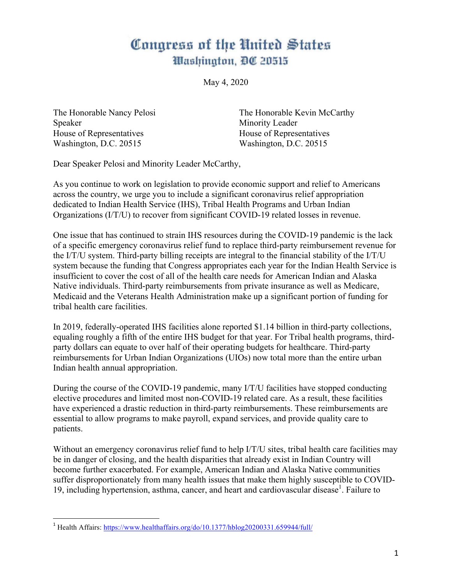## Congress of the United States Washington, DC 20515

May 4, 2020

Speaker Minority Leader House of Representatives House of Representatives Washington, D.C. 20515 Washington, D.C. 20515

The Honorable Nancy Pelosi The Honorable Kevin McCarthy

Dear Speaker Pelosi and Minority Leader McCarthy,

As you continue to work on legislation to provide economic support and relief to Americans across the country, we urge you to include a significant coronavirus relief appropriation dedicated to Indian Health Service (IHS), Tribal Health Programs and Urban Indian Organizations (I/T/U) to recover from significant COVID-19 related losses in revenue.

One issue that has continued to strain IHS resources during the COVID-19 pandemic is the lack of a specific emergency coronavirus relief fund to replace third-party reimbursement revenue for the I/T/U system. Third-party billing receipts are integral to the financial stability of the I/T/U system because the funding that Congress appropriates each year for the Indian Health Service is insufficient to cover the cost of all of the health care needs for American Indian and Alaska Native individuals. Third-party reimbursements from private insurance as well as Medicare, Medicaid and the Veterans Health Administration make up a significant portion of funding for tribal health care facilities.

In 2019, federally-operated IHS facilities alone reported \$1.14 billion in third-party collections, equaling roughly a fifth of the entire IHS budget for that year. For Tribal health programs, thirdparty dollars can equate to over half of their operating budgets for healthcare. Third-party reimbursements for Urban Indian Organizations (UIOs) now total more than the entire urban Indian health annual appropriation.

During the course of the COVID-19 pandemic, many I/T/U facilities have stopped conducting elective procedures and limited most non-COVID-19 related care. As a result, these facilities have experienced a drastic reduction in third-party reimbursements. These reimbursements are essential to allow programs to make payroll, expand services, and provide quality care to patients.

Without an emergency coronavirus relief fund to help I/T/U sites, tribal health care facilities may be in danger of closing, and the health disparities that already exist in Indian Country will become further exacerbated. For example, American Indian and Alaska Native communities suffer disproportionately from many health issues that make them highly susceptible to COVID-19, including hypertension, asthma, cancer, and heart and cardiovascular disease<sup>1</sup>. Failure to

 <sup>1</sup> Health Affairs: https://www.healthaffairs.org/do/10.1377/hblog20200331.659944/full/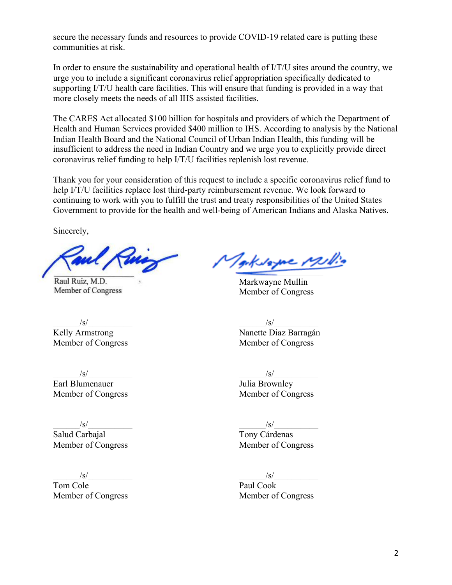secure the necessary funds and resources to provide COVID-19 related care is putting these communities at risk.

In order to ensure the sustainability and operational health of I/T/U sites around the country, we urge you to include a significant coronavirus relief appropriation specifically dedicated to supporting I/T/U health care facilities. This will ensure that funding is provided in a way that more closely meets the needs of all IHS assisted facilities.

The CARES Act allocated \$100 billion for hospitals and providers of which the Department of Health and Human Services provided \$400 million to IHS. According to analysis by the National Indian Health Board and the National Council of Urban Indian Health, this funding will be insufficient to address the need in Indian Country and we urge you to explicitly provide direct coronavirus relief funding to help I/T/U facilities replenish lost revenue.

Thank you for your consideration of this request to include a specific coronavirus relief fund to help I/T/U facilities replace lost third-party reimbursement revenue. We look forward to continuing to work with you to fulfill the trust and treaty responsibilities of the United States Government to provide for the health and well-being of American Indians and Alaska Natives.

Sincerely,

Raul Ruiz, M.D. Member of Congress

Kvame Milli  $\overline{\phantom{a}}$ 

Markwayne Mullin Member of Congress

 $\sqrt{s}/$ Kelly Armstrong Nanette Diaz Barragán Member of Congress Member of Congress

\_\_\_\_\_\_/s/\_\_\_\_\_\_\_\_\_\_ \_\_\_\_\_\_/s/\_\_\_\_\_\_\_\_\_\_ Earl Blumenauer Julia Brownley

 $\sqrt{s}/$ Salud Carbajal Tony Cárdenas Member of Congress Member of Congress

Tom Cole Paul Cook Member of Congress Member of Congress

Member of Congress Member of Congress

\_\_\_\_\_\_/s/\_\_\_\_\_\_\_\_\_\_ \_\_\_\_\_\_/s/\_\_\_\_\_\_\_\_\_\_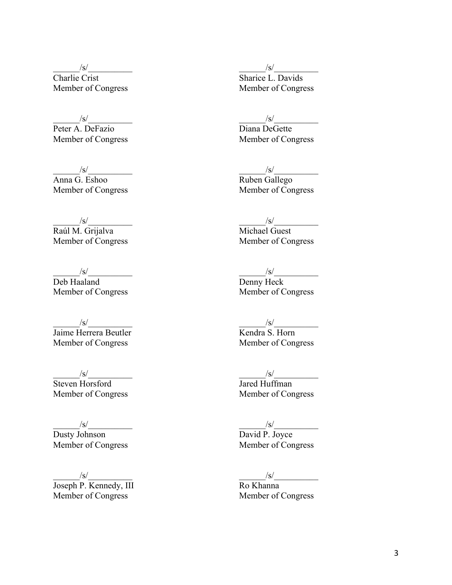$\frac{\sqrt{s}}{\text{Charlie Crist}}$  Sharice L. Davids Member of Congress Member of Congress

 $\sqrt{s}/$ Peter A. DeFazio Diana DeGette Member of Congress Member of Congress

 $\frac{\sqrt{s}}{\text{Anna G. } \text{Eshoo}}$   $\frac{\sqrt{s}}{\text{Ruben } \text{Gallego}}$ Member of Congress

 $\sqrt{s}/$ Raúl M. Grijalva Michael Guest Member of Congress Member of Congress

$$
\frac{\text{S}}{\text{Haaland}}
$$

Member of Congress

*S/*<br>Jaime Herrera Beutler<br>Member of Congress<br>Member of Congress Member of Congress

Steven Horsford Member of Congress Member of Congress

 $\frac{\sqrt{s}}{\text{Dusty}}$  Johnson David P. Joyce<br>Member of Congress Member of Congress Member of Congress

\_\_\_\_\_\_/s/\_\_\_\_\_\_\_\_\_\_ \_\_\_\_\_\_/s/\_\_\_\_\_\_\_\_\_\_ Joseph P. Kennedy, III Ro Khanna Member of Congress Member of Congress

 $\frac{|s|}{\sqrt{2\pi}}$ 

Ruben Gallego<br>Member of Congress

 $/\text{S}/$ 

Deb Haaland Denny Heck<br>
Member of Congress Member of Congress

 $\frac{|s|}{\text{Kendra S. Horn}}$ 

 $\frac{S/\text{S}}{\text{Steven Horsford}}$   $\frac{S/\text{S}}{\text{Inred Huffman}}$ 

 $\frac{|s|}{\text{David P. Joyce}}$